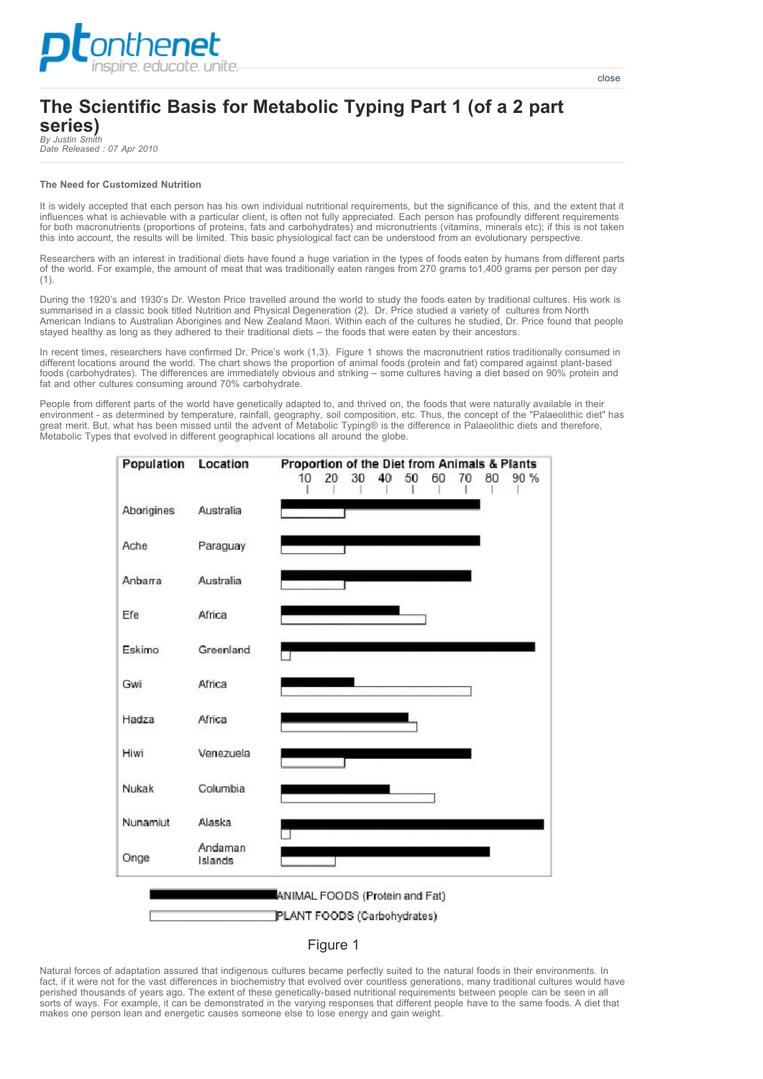

*By Justin Smith Date Released : 07 Apr 2010*

## **The Need for Customized Nutrition**

It is widely accepted that each person has his own individual nutritional requirements, but the significance of this, and the extent that it influences what is achievable with a particular client, is often not fully appreciated. Each person has profoundly different requirements for both macronutrients (proportions of proteins, fats and carbohydrates) and micronutrients (vitamins, minerals etc); if this is not taken this into account, the results will be limited. This basic physiological fact can be understood from an evolutionary perspective.

Researchers with an interest in traditional diets have found a huge variation in the types of foods eaten by humans from different parts of the world. For example, the amount of meat that was traditionally eaten ranges from 270 grams to1,400 grams per person per day (1).

During the 1920's and 1930's Dr. Weston Price travelled around the world to study the foods eaten by traditional cultures. His work is summarised in a classic book titled Nutrition and Physical Degeneration (2). Dr. Price studied a variety of cultures from North American Indians to Australian Aborigines and New Zealand Maori. Within each of the cultures he studied, Dr. Price found that people stayed healthy as long as they adhered to their traditional diets – the foods that were eaten by their ancestors.

In recent times, researchers have confirmed Dr. Price's work (1,3). Figure 1 shows the macronutrient ratios traditionally consumed in different locations around the world. The chart shows the proportion of animal foods (protein and fat) compared against plant-based foods (carbohydrates). The differences are immediately obvious and striking - some cultures having a diet based on 90% protein and fat and other cultures consuming around 70% carbohydrate.

People from different parts of the world have genetically adapted to, and thrived on, the foods that were naturally available in their environment - as determined by temperature, rainfall, geography, soil composition, etc. Thus, the concept of the "Palaeolithic diet" has great merit. But, what has been missed until the advent of Metabolic Typing® is the difference in Palaeolithic diets and therefore, Metabolic Types that evolved in different geographical locations all around the globe.



PLANT FOODS (Carbohydrates)



Natural forces of adaptation assured that indigenous cultures became perfectly suited to the natural foods in their environments. In fact, if it were not for the vast differences in biochemistry that evolved over countless generations, many traditional cultures would have perished thousands of years ago. The extent of these genetically-based nutritional requirements between people can be seen in all sorts of ways. For example, it can be demonstrated in the varying responses that different people have to the same foods. A diet that makes one person lean and energetic causes someone else to lose energy and gain weight.